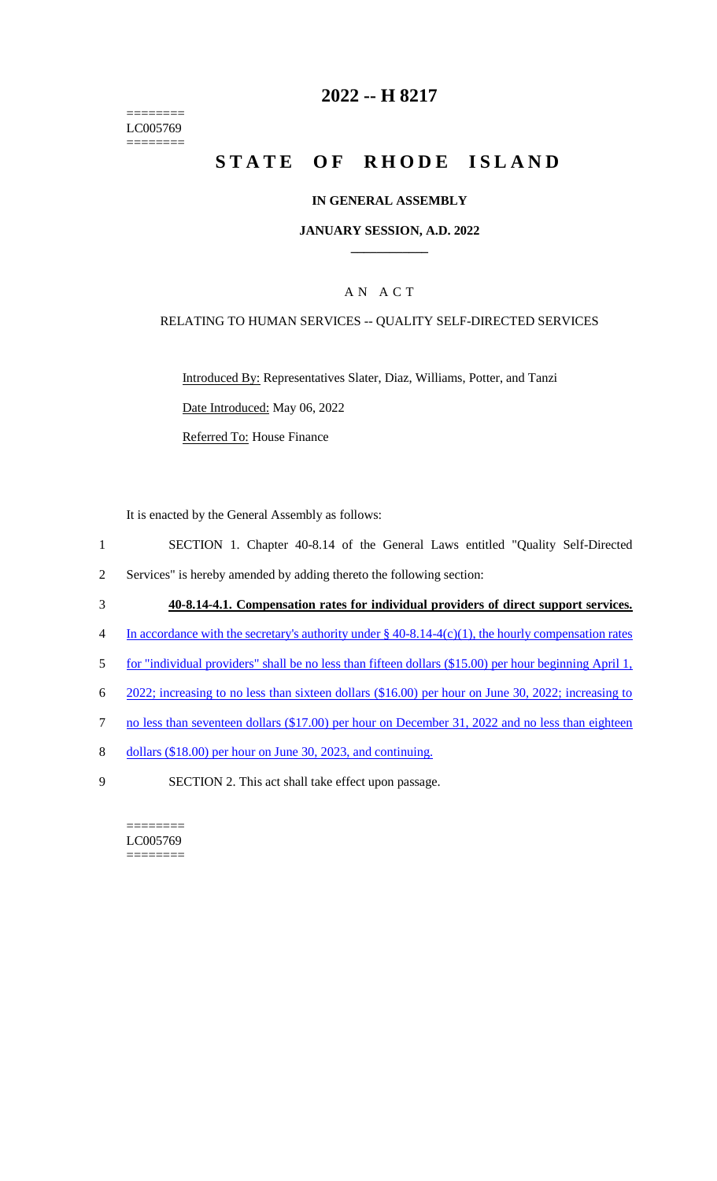======== LC005769 ========

## **2022 -- H 8217**

# **STATE OF RHODE ISLAND**

#### **IN GENERAL ASSEMBLY**

#### **JANUARY SESSION, A.D. 2022 \_\_\_\_\_\_\_\_\_\_\_\_**

### A N A C T

#### RELATING TO HUMAN SERVICES -- QUALITY SELF-DIRECTED SERVICES

Introduced By: Representatives Slater, Diaz, Williams, Potter, and Tanzi Date Introduced: May 06, 2022 Referred To: House Finance

It is enacted by the General Assembly as follows:

- 1 SECTION 1. Chapter 40-8.14 of the General Laws entitled "Quality Self-Directed
- 2 Services" is hereby amended by adding thereto the following section:
- 3 **40-8.14-4.1. Compensation rates for individual providers of direct support services.**
- 4 In accordance with the secretary's authority under § 40-8.14-4(c)(1), the hourly compensation rates
- 5 for "individual providers" shall be no less than fifteen dollars (\$15.00) per hour beginning April 1,
- 6 2022; increasing to no less than sixteen dollars (\$16.00) per hour on June 30, 2022; increasing to
- 7 no less than seventeen dollars (\$17.00) per hour on December 31, 2022 and no less than eighteen
- 8 dollars (\$18.00) per hour on June 30, 2023, and continuing.
- 9 SECTION 2. This act shall take effect upon passage.

======== LC005769 ========